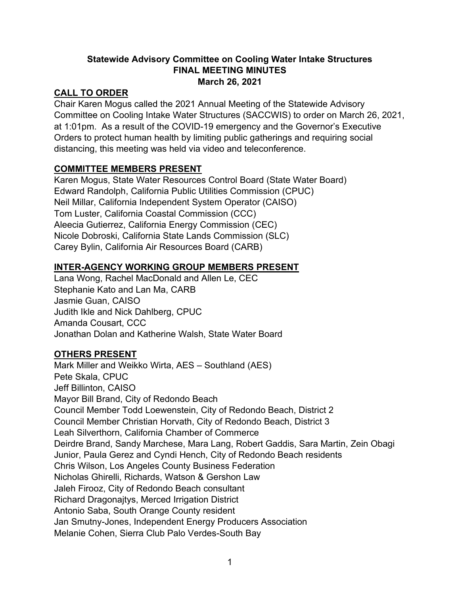### **Statewide Advisory Committee on Cooling Water Intake Structures FINAL MEETING MINUTES March 26, 2021**

### **CALL TO ORDER**

Chair Karen Mogus called the 2021 Annual Meeting of the Statewide Advisory Committee on Cooling Intake Water Structures (SACCWIS) to order on March 26, 2021, at 1:01pm. As a result of the COVID-19 emergency and the Governor's Executive Orders to protect human health by limiting public gatherings and requiring social distancing, this meeting was held via video and teleconference.

### **COMMITTEE MEMBERS PRESENT**

Karen Mogus, State Water Resources Control Board (State Water Board) Edward Randolph, California Public Utilities Commission (CPUC) Neil Millar, California Independent System Operator (CAISO) Tom Luster, California Coastal Commission (CCC) Aleecia Gutierrez, California Energy Commission (CEC) Nicole Dobroski, California State Lands Commission (SLC) Carey Bylin, California Air Resources Board (CARB)

### **INTER-AGENCY WORKING GROUP MEMBERS PRESENT**

Lana Wong, Rachel MacDonald and Allen Le, CEC Stephanie Kato and Lan Ma, CARB Jasmie Guan, CAISO Judith Ikle and Nick Dahlberg, CPUC Amanda Cousart, CCC Jonathan Dolan and Katherine Walsh, State Water Board

### **OTHERS PRESENT**

Mark Miller and Weikko Wirta, AES – Southland (AES) Pete Skala, CPUC Jeff Billinton, CAISO Mayor Bill Brand, City of Redondo Beach Council Member Todd Loewenstein, City of Redondo Beach, District 2 Council Member Christian Horvath, City of Redondo Beach, District 3 Leah Silverthorn, California Chamber of Commerce Deirdre Brand, Sandy Marchese, Mara Lang, Robert Gaddis, Sara Martin, Zein Obagi Junior, Paula Gerez and Cyndi Hench, City of Redondo Beach residents Chris Wilson, Los Angeles County Business Federation Nicholas Ghirelli, Richards, Watson & Gershon Law Jaleh Firooz, City of Redondo Beach consultant Richard Dragonajtys, Merced Irrigation District Antonio Saba, South Orange County resident Jan Smutny-Jones, Independent Energy Producers Association Melanie Cohen, Sierra Club Palo Verdes-South Bay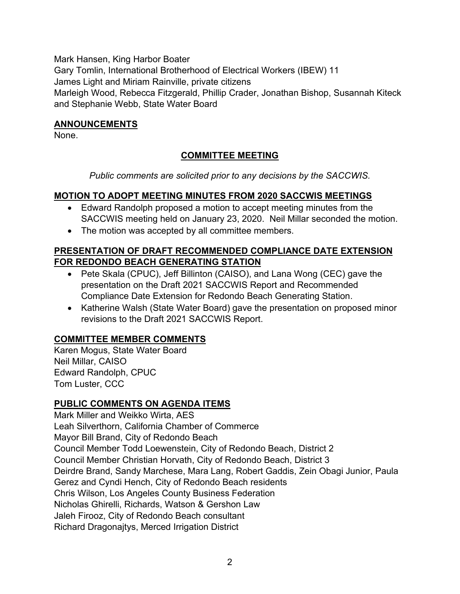Mark Hansen, King Harbor Boater

Gary Tomlin, International Brotherhood of Electrical Workers (IBEW) 11

James Light and Miriam Rainville, private citizens

Marleigh Wood, Rebecca Fitzgerald, Phillip Crader, Jonathan Bishop, Susannah Kiteck and Stephanie Webb, State Water Board

## **ANNOUNCEMENTS**

None.

# **COMMITTEE MEETING**

*Public comments are solicited prior to any decisions by the SACCWIS.*

## **MOTION TO ADOPT MEETING MINUTES FROM 2020 SACCWIS MEETINGS**

- · Edward Randolph proposed a motion to accept meeting minutes from the SACCWIS meeting held on January 23, 2020. Neil Millar seconded the motion.
- The motion was accepted by all committee members.

## **PRESENTATION OF DRAFT RECOMMENDED COMPLIANCE DATE EXTENSION FOR REDONDO BEACH GENERATING STATION**

- · Pete Skala (CPUC), Jeff Billinton (CAISO), and Lana Wong (CEC) gave the presentation on the Draft 2021 SACCWIS Report and Recommended Compliance Date Extension for Redondo Beach Generating Station.
- Katherine Walsh (State Water Board) gave the presentation on proposed minor revisions to the Draft 2021 SACCWIS Report.

## **COMMITTEE MEMBER COMMENTS**

Karen Mogus, State Water Board Neil Millar, CAISO Edward Randolph, CPUC Tom Luster, CCC

## **PUBLIC COMMENTS ON AGENDA ITEMS**

Mark Miller and Weikko Wirta, AES Leah Silverthorn, California Chamber of Commerce Mayor Bill Brand, City of Redondo Beach Council Member Todd Loewenstein, City of Redondo Beach, District 2 Council Member Christian Horvath, City of Redondo Beach, District 3 Deirdre Brand, Sandy Marchese, Mara Lang, Robert Gaddis, Zein Obagi Junior, Paula Gerez and Cyndi Hench, City of Redondo Beach residents Chris Wilson, Los Angeles County Business Federation Nicholas Ghirelli, Richards, Watson & Gershon Law Jaleh Firooz, City of Redondo Beach consultant Richard Dragonajtys, Merced Irrigation District